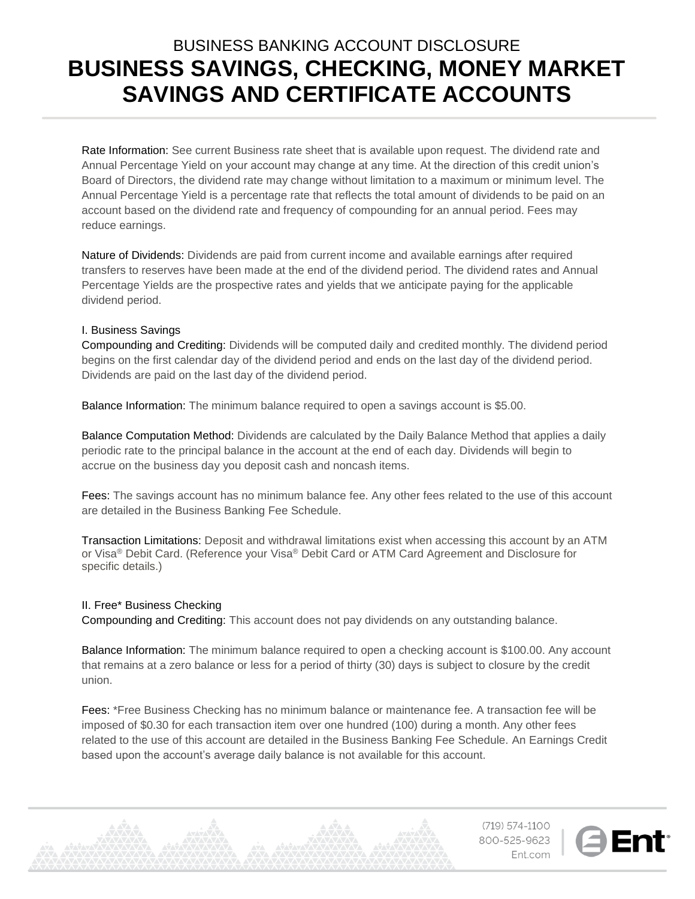# BUSINESS BANKING ACCOUNT DISCLOSURE **BUSINESS SAVINGS, CHECKING, MONEY MARKET SAVINGS AND CERTIFICATE ACCOUNTS**

 Annual Percentage Yield is a percentage rate that reflects the total amount of dividends to be paid on an Rate Information: See current Business rate sheet that is available upon request. The dividend rate and Annual Percentage Yield on your account may change at any time. At the direction of this credit union's Board of Directors, the dividend rate may change without limitation to a maximum or minimum level. The account based on the dividend rate and frequency of compounding for an annual period. Fees may reduce earnings.

Nature of Dividends: Dividends are paid from current income and available earnings after required transfers to reserves have been made at the end of the dividend period. The dividend rates and Annual Percentage Yields are the prospective rates and yields that we anticipate paying for the applicable dividend period.

## I. Business Savings

 Compounding and Crediting: Dividends will be computed daily and credited monthly. The dividend period begins on the first calendar day of the dividend period and ends on the last day of the dividend period. Dividends are paid on the last day of the dividend period.

Balance Information: The minimum balance required to open a savings account is \$5.00.

 periodic rate to the principal balance in the account at the end of each day. Dividends will begin to Balance Computation Method: Dividends are calculated by the Daily Balance Method that applies a daily accrue on the business day you deposit cash and noncash items.

Fees: The savings account has no minimum balance fee. Any other fees related to the use of this account are detailed in the Business Banking Fee Schedule.

Transaction Limitations: Deposit and withdrawal limitations exist when accessing this account by an ATM or Visa® Debit Card. (Reference your Visa® Debit Card or ATM Card Agreement and Disclosure for specific details.)

#### II. Free\* Business Checking

Compounding and Crediting: This account does not pay dividends on any outstanding balance.

 Balance Information: The minimum balance required to open a checking account is \$100.00. Any account that remains at a zero balance or less for a period of thirty (30) days is subject to closure by the credit union.

 imposed of \$0.30 for each transaction item over one hundred (100) during a month. Any other fees Fees: \*Free Business Checking has no minimum balance or maintenance fee. A transaction fee will be related to the use of this account are detailed in the Business Banking Fee Schedule. An Earnings Credit based upon the account's average daily balance is not available for this account.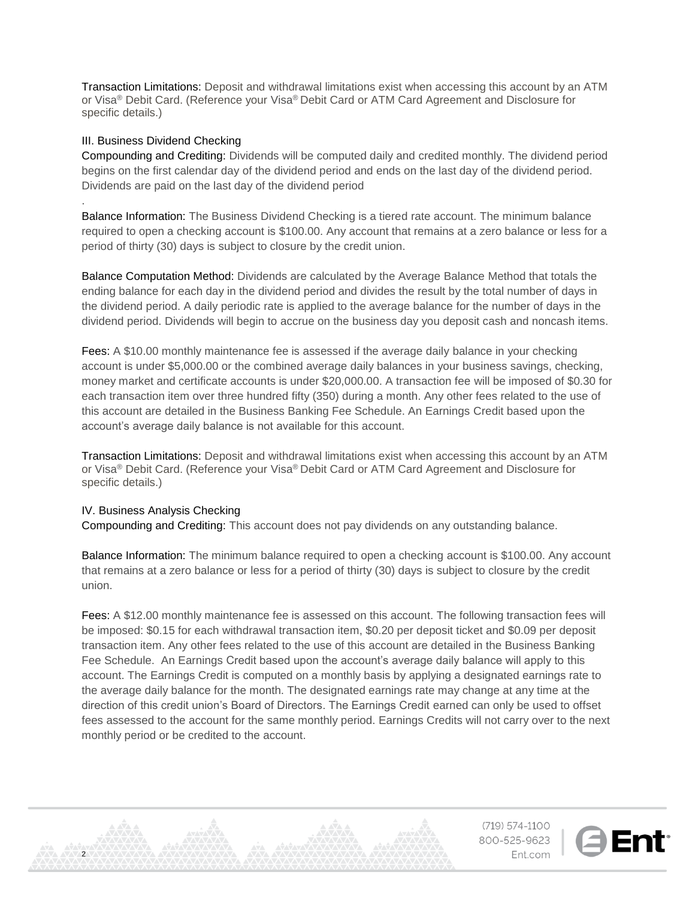Transaction Limitations: Deposit and withdrawal limitations exist when accessing this account by an ATM or Visa® Debit Card. (Reference your Visa® Debit Card or ATM Card Agreement and Disclosure for specific details.)

## III. Business Dividend Checking

.

2

 Compounding and Crediting: Dividends will be computed daily and credited monthly. The dividend period begins on the first calendar day of the dividend period and ends on the last day of the dividend period. Dividends are paid on the last day of the dividend period

Balance Information: The Business Dividend Checking is a tiered rate account. The minimum balance required to open a checking account is \$100.00. Any account that remains at a zero balance or less for a period of thirty (30) days is subject to closure by the credit union.

Balance Computation Method: Dividends are calculated by the Average Balance Method that totals the ending balance for each day in the dividend period and divides the result by the total number of days in the dividend period. A daily periodic rate is applied to the average balance for the number of days in the dividend period. Dividends will begin to accrue on the business day you deposit cash and noncash items.

 account is under \$[5,000.00](https://5,000.00) or the combined average daily balances in your business savings, checking, each transaction item over three hundred fifty (350) during a month. Any other fees related to the use of this account are detailed in the Business Banking Fee Schedule. An Earnings Credit based upon the Fees: A \$10.00 monthly maintenance fee is assessed if the average daily balance in your checking money market and certificate accounts is under \$[20,000.00](https://20,000.00). A transaction fee will be imposed of \$0.30 for account's average daily balance is not available for this account.

Transaction Limitations: Deposit and withdrawal limitations exist when accessing this account by an ATM or Visa® Debit Card. (Reference your Visa® Debit Card or ATM Card Agreement and Disclosure for specific details.)

#### IV. Business Analysis Checking

Compounding and Crediting: This account does not pay dividends on any outstanding balance.

 Balance Information: The minimum balance required to open a checking account is \$100.00. Any account that remains at a zero balance or less for a period of thirty (30) days is subject to closure by the credit union.

 Fees: A \$12.00 monthly maintenance fee is assessed on this account. The following transaction fees will be imposed: \$0.15 for each withdrawal transaction item, \$0.20 per deposit ticket and \$0.09 per deposit transaction item. Any other fees related to the use of this account are detailed in the Business Banking Fee Schedule. An Earnings Credit based upon the account's average daily balance will apply to this account. The Earnings Credit is computed on a monthly basis by applying a designated earnings rate to the average daily balance for the month. The designated earnings rate may change at any time at the direction of this credit union's Board of Directors. The Earnings Credit earned can only be used to offset fees assessed to the account for the same monthly period. Earnings Credits will not carry over to the next monthly period or be credited to the account.

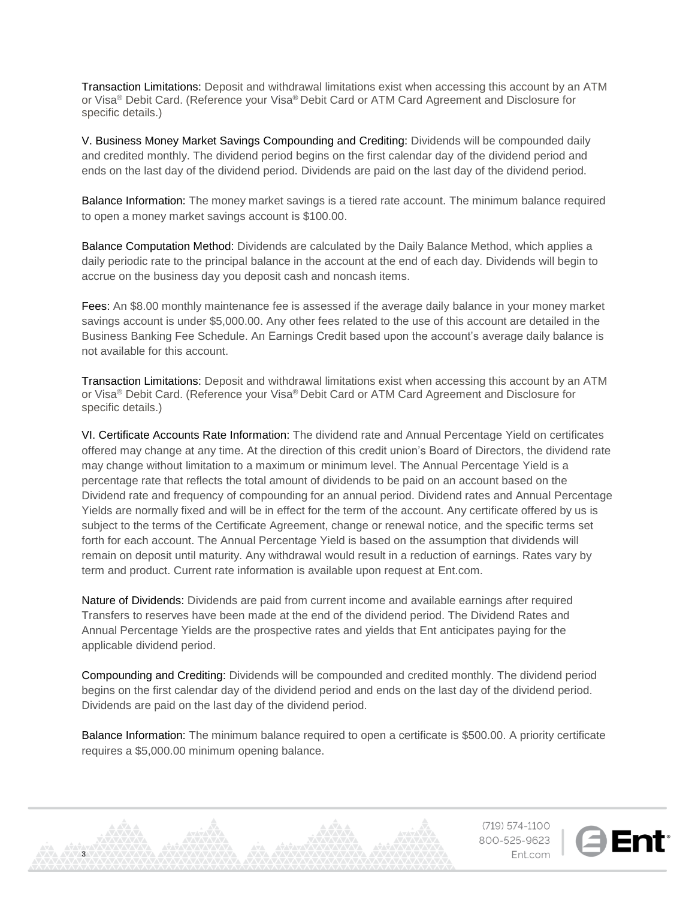Transaction Limitations: Deposit and withdrawal limitations exist when accessing this account by an ATM or Visa® Debit Card. (Reference your Visa® Debit Card or ATM Card Agreement and Disclosure for specific details.)

 and credited monthly. The dividend period begins on the first calendar day of the dividend period and ends on the last day of the dividend period. Dividends are paid on the last day of the dividend period. V. Business Money Market Savings Compounding and Crediting: Dividends will be compounded daily

Balance Information: The money market savings is a tiered rate account. The minimum balance required to open a money market savings account is \$100.00.

 daily periodic rate to the principal balance in the account at the end of each day. Dividends will begin to Balance Computation Method: Dividends are calculated by the Daily Balance Method, which applies a accrue on the business day you deposit cash and noncash items.

Fees: An \$8.00 monthly maintenance fee is assessed if the average daily balance in your money market savings account is under [\\$5,000.00](https://5,000.00). Any other fees related to the use of this account are detailed in the Business Banking Fee Schedule. An Earnings Credit based upon the account's average daily balance is not available for this account.

Transaction Limitations: Deposit and withdrawal limitations exist when accessing this account by an ATM or Visa® Debit Card. (Reference your Visa® Debit Card or ATM Card Agreement and Disclosure for specific details.)

 Yields are normally fixed and will be in effect for the term of the account. Any certificate offered by us is forth for each account. The Annual Percentage Yield is based on the assumption that dividends will VI. Certificate Accounts Rate Information: The dividend rate and Annual Percentage Yield on certificates offered may change at any time. At the direction of this credit union's Board of Directors, the dividend rate may change without limitation to a maximum or minimum level. The Annual Percentage Yield is a percentage rate that reflects the total amount of dividends to be paid on an account based on the Dividend rate and frequency of compounding for an annual period. Dividend rates and Annual Percentage subject to the terms of the Certificate Agreement, change or renewal notice, and the specific terms set remain on deposit until maturity. Any withdrawal would result in a reduction of earnings. Rates vary by term and product. Current rate information is available upon request at Ent.com.

 Annual Percentage Yields are the prospective rates and yields that Ent anticipates paying for the Nature of Dividends: Dividends are paid from current income and available earnings after required Transfers to reserves have been made at the end of the dividend period. The Dividend Rates and applicable dividend period.

 Compounding and Crediting: Dividends will be compounded and credited monthly. The dividend period begins on the first calendar day of the dividend period and ends on the last day of the dividend period. Dividends are paid on the last day of the dividend period.

 Balance Information: The minimum balance required to open a certificate is \$500.00. A priority certificate requires a \$[5,000.00](https://5,000.00) minimum opening balance.

3

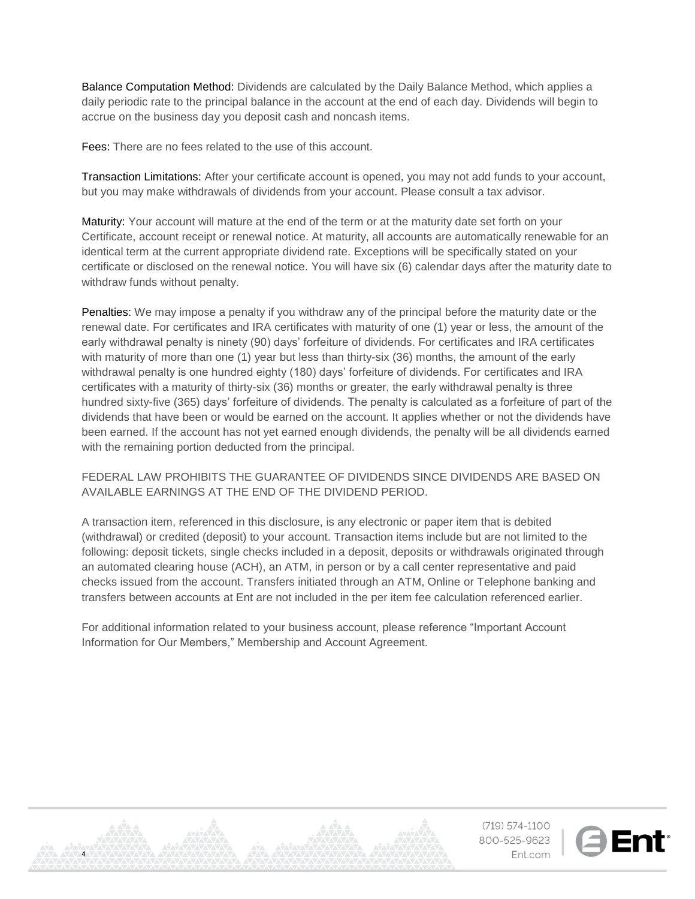daily periodic rate to the principal balance in the account at the end of each day. Dividends will begin to Balance Computation Method: Dividends are calculated by the Daily Balance Method, which applies a accrue on the business day you deposit cash and noncash items.

Fees: There are no fees related to the use of this account.

Transaction Limitations: After your certificate account is opened, you may not add funds to your account, but you may make withdrawals of dividends from your account. Please consult a tax advisor.

 Maturity: Your account will mature at the end of the term or at the maturity date set forth on your certificate or disclosed on the renewal notice. You will have six (6) calendar days after the maturity date to Certificate, account receipt or renewal notice. At maturity, all accounts are automatically renewable for an identical term at the current appropriate dividend rate. Exceptions will be specifically stated on your withdraw funds without penalty.

 Penalties: We may impose a penalty if you withdraw any of the principal before the maturity date or the early withdrawal penalty is ninety (90) days' forfeiture of dividends. For certificates and IRA certificates certificates with a maturity of thirty-six (36) months or greater, the early withdrawal penalty is three dividends that have been or would be earned on the account. It applies whether or not the dividends have been earned. If the account has not yet earned enough dividends, the penalty will be all dividends earned with the remaining portion deducted from the principal. renewal date. For certificates and IRA certificates with maturity of one (1) year or less, the amount of the with maturity of more than one (1) year but less than thirty-six (36) months, the amount of the early withdrawal penalty is one hundred eighty (180) days' forfeiture of dividends. For certificates and IRA hundred sixty-five (365) days' forfeiture of dividends. The penalty is calculated as a forfeiture of part of the

# AVAILABLE EARNINGS AT THE END OF THE DIVIDEND PERIOD. FEDERAL LAW PROHIBITS THE GUARANTEE OF DIVIDENDS SINCE DIVIDENDS ARE BASED ON

A transaction item, referenced in this disclosure, is any electronic or paper item that is debited (withdrawal) or credited (deposit) to your account. Transaction items include but are not limited to the following: deposit tickets, single checks included in a deposit, deposits or withdrawals originated through an automated clearing house (ACH), an ATM, in person or by a call center representative and paid checks issued from the account. Transfers initiated through an ATM, Online or Telephone banking and transfers between accounts at Ent are not included in the per item fee calculation referenced earlier.

For additional information related to your business account, please reference "Important Account Information for Our Members," Membership and Account Agreement.